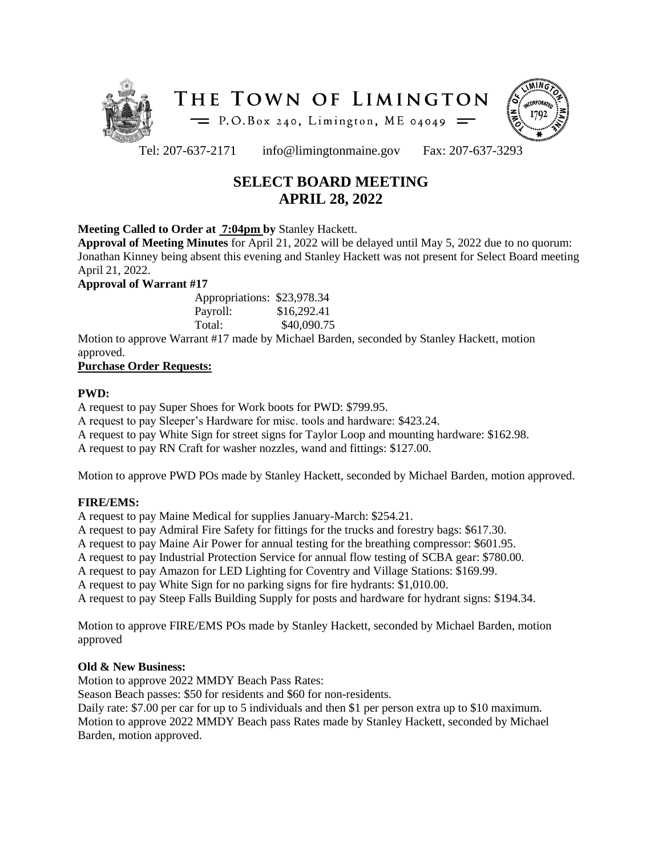



Tel: 207-637-2171 info@limingtonmaine.gov Fax: 207-637-3293

# **SELECT BOARD MEETING APRIL 28, 2022**

### **Meeting Called to Order at 7:04pm by** Stanley Hackett.

**Approval of Meeting Minutes** for April 21, 2022 will be delayed until May 5, 2022 due to no quorum: Jonathan Kinney being absent this evening and Stanley Hackett was not present for Select Board meeting April 21, 2022.

**Approval of Warrant #17**

| Appropriations: \$23,978.34 |             |
|-----------------------------|-------------|
| Payroll:                    | \$16,292.41 |
| Total:                      | \$40,090.75 |

Motion to approve Warrant #17 made by Michael Barden, seconded by Stanley Hackett, motion approved.

# **Purchase Order Requests:**

# **PWD:**

A request to pay Super Shoes for Work boots for PWD: \$799.95.

A request to pay Sleeper's Hardware for misc. tools and hardware: \$423.24.

A request to pay White Sign for street signs for Taylor Loop and mounting hardware: \$162.98.

A request to pay RN Craft for washer nozzles, wand and fittings: \$127.00.

Motion to approve PWD POs made by Stanley Hackett, seconded by Michael Barden, motion approved.

# **FIRE/EMS:**

A request to pay Maine Medical for supplies January-March: \$254.21.

A request to pay Admiral Fire Safety for fittings for the trucks and forestry bags: \$617.30.

A request to pay Maine Air Power for annual testing for the breathing compressor: \$601.95.

A request to pay Industrial Protection Service for annual flow testing of SCBA gear: \$780.00.

A request to pay Amazon for LED Lighting for Coventry and Village Stations: \$169.99.

A request to pay White Sign for no parking signs for fire hydrants: \$1,010.00.

A request to pay Steep Falls Building Supply for posts and hardware for hydrant signs: \$194.34.

Motion to approve FIRE/EMS POs made by Stanley Hackett, seconded by Michael Barden, motion approved

# **Old & New Business:**

Motion to approve 2022 MMDY Beach Pass Rates:

Season Beach passes: \$50 for residents and \$60 for non-residents.

Daily rate: \$7.00 per car for up to 5 individuals and then \$1 per person extra up to \$10 maximum. Motion to approve 2022 MMDY Beach pass Rates made by Stanley Hackett, seconded by Michael

Barden, motion approved.